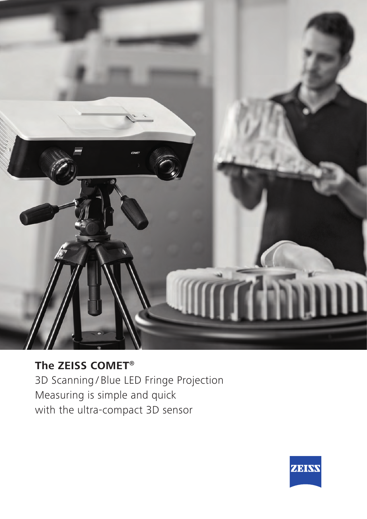

**The ZEISS COMET®** 3D Scanning / Blue LED Fringe Projection Measuring is simple and quick with the ultra-compact 3D sensor

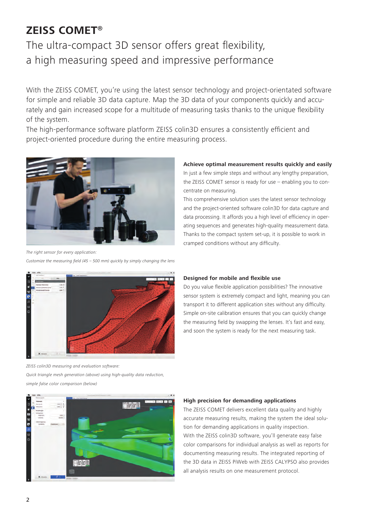# **ZEISS COMET®**

# The ultra-compact 3D sensor offers great flexibility, a high measuring speed and impressive performance

With the ZEISS COMET, you're using the latest sensor technology and project-orientated software for simple and reliable 3D data capture. Map the 3D data of your components quickly and accurately and gain increased scope for a multitude of measuring tasks thanks to the unique flexibility of the system.

The high-performance software platform ZEISS colin3D ensures a consistently efficient and project-oriented procedure during the entire measuring process.



*The right sensor for every application:* 

Customize the measuring field (45 – 500 mm) quickly by simply changing the lens

### **Achieve optimal measurement results quickly and easily**

In just a few simple steps and without any lengthy preparation, the ZEISS COMET sensor is ready for use – enabling you to concentrate on measuring.

This comprehensive solution uses the latest sensor technology and the project-oriented software colin3D for data capture and data processing. It affords you a high level of efficiency in operating sequences and generates high-quality measurement data. Thanks to the compact system set-up, it is possible to work in cramped conditions without any difficulty.



ZEISS colin3D measuring and evaluation software:

Quick triangle mesh generation (above) using high-quality data reduction, simple false color comparison (below)

#### **Designed for mobile and flexible use**

Do you value flexible application possibilities? The innovative sensor system is extremely compact and light, meaning you can transport it to different application sites without any difficulty. Simple on-site calibration ensures that you can quickly change the measuring field by swapping the lenses. It's fast and easy, and soon the system is ready for the next measuring task.



#### **High precision for demanding applications**

The ZEISS COMET delivers excellent data quality and highly accurate measuring results, making the system the ideal solution for demanding applications in quality inspection. With the ZEISS colin3D software, you'll generate easy false color comparisons for individual analysis as well as reports for documenting measuring results. The integrated reporting of the 3D data in ZEISS PiWeb with ZEISS CALYPSO also provides all analysis results on one measurement protocol.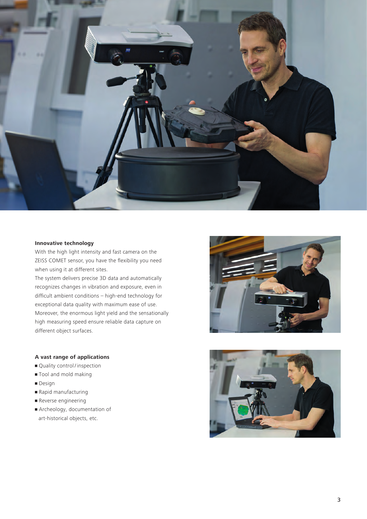

#### **Innovative technology**

With the high light intensity and fast camera on the ZEISS COMET sensor, you have the flexibility you need when using it at different sites.

The system delivers precise 3D data and automatically recognizes changes in vibration and exposure, even in difficult ambient conditions – high-end technology for exceptional data quality with maximum ease of use. Moreover, the enormous light yield and the sensationally high measuring speed ensure reliable data capture on different object surfaces.

#### **A vast range of applications**

- Quality control / inspection
- Tool and mold making
- Design
- Rapid manufacturing
- **•** Reverse engineering
- Archeology, documentation of art-historical objects, etc.